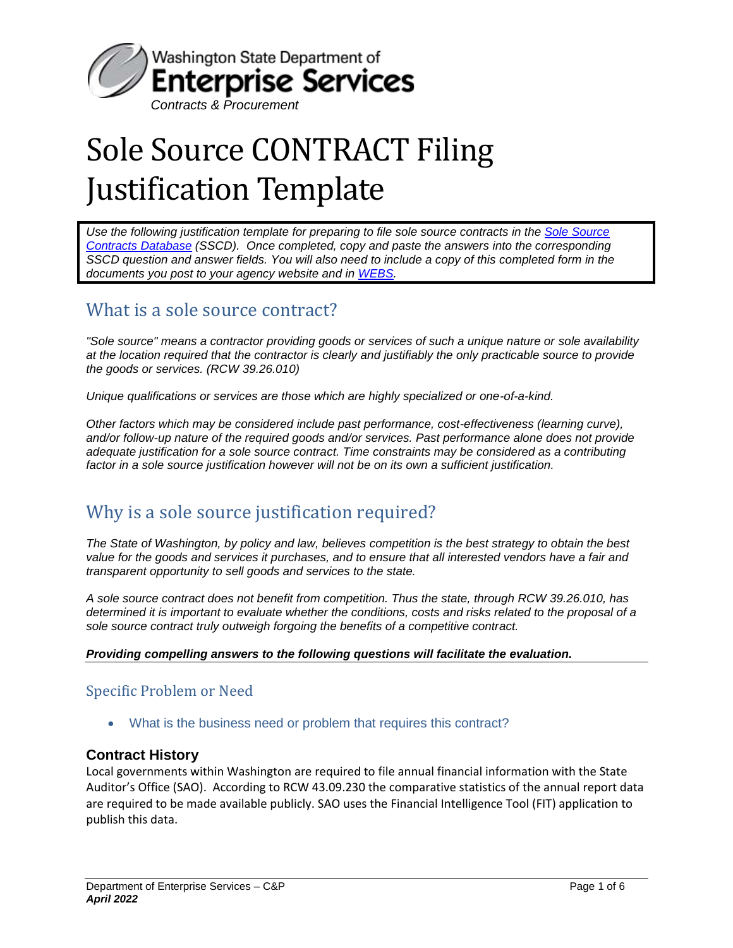

# Sole Source CONTRACT Filing Justification Template

*Use the following justification template for preparing to file sole source contracts in the [Sole Source](https://sscd.des.wa.gov/Logon/Logon.aspx?ReturnUrl=%2f)  [Contracts Database](https://sscd.des.wa.gov/Logon/Logon.aspx?ReturnUrl=%2f) (SSCD). Once completed, copy and paste the answers into the corresponding SSCD question and answer fields. You will also need to include a copy of this completed form in the documents you post to your agency website and in [WEBS.](https://pr-webs-customer.des.wa.gov/)* 

# What is a sole source contract?

*"Sole source" means a contractor providing goods or services of such a unique nature or sole availability at the location required that the contractor is clearly and justifiably the only practicable source to provide the goods or services. (RCW 39.26.010)*

*Unique qualifications or services are those which are highly specialized or one-of-a-kind.*

*Other factors which may be considered include past performance, cost-effectiveness (learning curve), and/or follow-up nature of the required goods and/or services. Past performance alone does not provide adequate justification for a sole source contract. Time constraints may be considered as a contributing factor in a sole source justification however will not be on its own a sufficient justification.*

# Why is a sole source justification required?

*The State of Washington, by policy and law, believes competition is the best strategy to obtain the best value for the goods and services it purchases, and to ensure that all interested vendors have a fair and transparent opportunity to sell goods and services to the state.*

*A sole source contract does not benefit from competition. Thus the state, through RCW 39.26.010, has determined it is important to evaluate whether the conditions, costs and risks related to the proposal of a sole source contract truly outweigh forgoing the benefits of a competitive contract.*

#### *Providing compelling answers to the following questions will facilitate the evaluation.*

## Specific Problem or Need

What is the business need or problem that requires this contract?

### **Contract History**

Local governments within Washington are required to file annual financial information with the State Auditor's Office (SAO). According to RCW 43.09.230 the comparative statistics of the annual report data are required to be made available publicly. SAO uses the Financial Intelligence Tool (FIT) application to publish this data.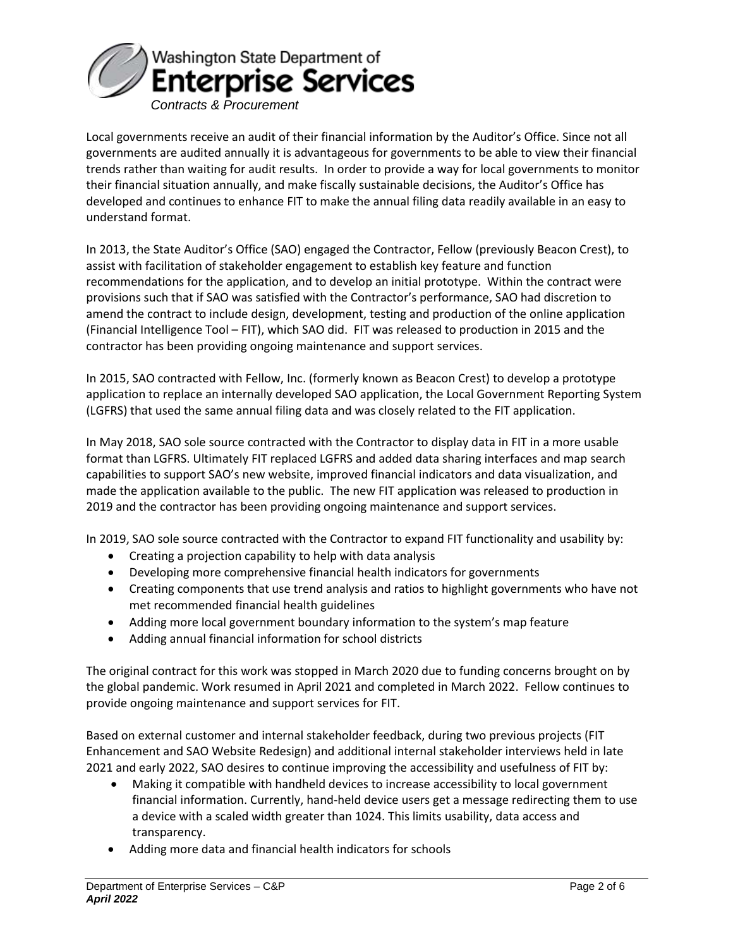

Local governments receive an audit of their financial information by the Auditor's Office. Since not all governments are audited annually it is advantageous for governments to be able to view their financial trends rather than waiting for audit results. In order to provide a way for local governments to monitor their financial situation annually, and make fiscally sustainable decisions, the Auditor's Office has developed and continues to enhance FIT to make the annual filing data readily available in an easy to understand format.

In 2013, the State Auditor's Office (SAO) engaged the Contractor, Fellow (previously Beacon Crest), to assist with facilitation of stakeholder engagement to establish key feature and function recommendations for the application, and to develop an initial prototype. Within the contract were provisions such that if SAO was satisfied with the Contractor's performance, SAO had discretion to amend the contract to include design, development, testing and production of the online application (Financial Intelligence Tool – FIT), which SAO did. FIT was released to production in 2015 and the contractor has been providing ongoing maintenance and support services.

In 2015, SAO contracted with Fellow, Inc. (formerly known as Beacon Crest) to develop a prototype application to replace an internally developed SAO application, the Local Government Reporting System (LGFRS) that used the same annual filing data and was closely related to the FIT application.

In May 2018, SAO sole source contracted with the Contractor to display data in FIT in a more usable format than LGFRS. Ultimately FIT replaced LGFRS and added data sharing interfaces and map search capabilities to support SAO's new website, improved financial indicators and data visualization, and made the application available to the public. The new FIT application was released to production in 2019 and the contractor has been providing ongoing maintenance and support services.

In 2019, SAO sole source contracted with the Contractor to expand FIT functionality and usability by:

- Creating a projection capability to help with data analysis
- Developing more comprehensive financial health indicators for governments
- Creating components that use trend analysis and ratios to highlight governments who have not met recommended financial health guidelines
- Adding more local government boundary information to the system's map feature
- Adding annual financial information for school districts

The original contract for this work was stopped in March 2020 due to funding concerns brought on by the global pandemic. Work resumed in April 2021 and completed in March 2022. Fellow continues to provide ongoing maintenance and support services for FIT.

Based on external customer and internal stakeholder feedback, during two previous projects (FIT Enhancement and SAO Website Redesign) and additional internal stakeholder interviews held in late 2021 and early 2022, SAO desires to continue improving the accessibility and usefulness of FIT by:

- Making it compatible with handheld devices to increase accessibility to local government financial information. Currently, hand-held device users get a message redirecting them to use a device with a scaled width greater than 1024. This limits usability, data access and transparency.
- Adding more data and financial health indicators for schools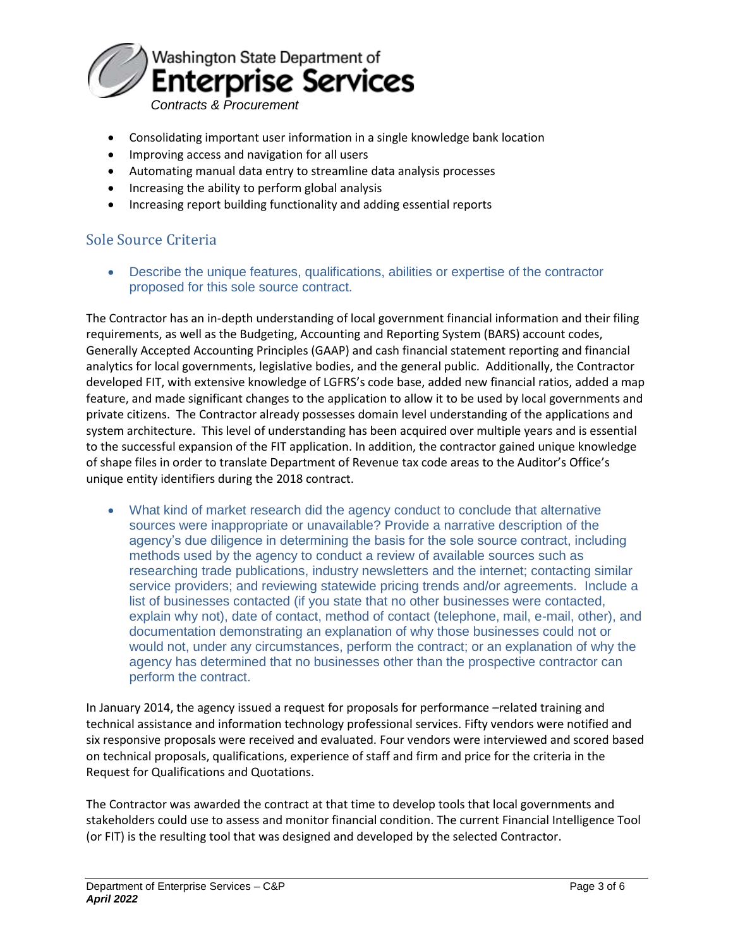

- Consolidating important user information in a single knowledge bank location
- Improving access and navigation for all users
- Automating manual data entry to streamline data analysis processes
- Increasing the ability to perform global analysis
- Increasing report building functionality and adding essential reports

## Sole Source Criteria

 Describe the unique features, qualifications, abilities or expertise of the contractor proposed for this sole source contract.

The Contractor has an in-depth understanding of local government financial information and their filing requirements, as well as the Budgeting, Accounting and Reporting System (BARS) account codes, Generally Accepted Accounting Principles (GAAP) and cash financial statement reporting and financial analytics for local governments, legislative bodies, and the general public. Additionally, the Contractor developed FIT, with extensive knowledge of LGFRS's code base, added new financial ratios, added a map feature, and made significant changes to the application to allow it to be used by local governments and private citizens. The Contractor already possesses domain level understanding of the applications and system architecture. This level of understanding has been acquired over multiple years and is essential to the successful expansion of the FIT application. In addition, the contractor gained unique knowledge of shape files in order to translate Department of Revenue tax code areas to the Auditor's Office's unique entity identifiers during the 2018 contract.

 What kind of market research did the agency conduct to conclude that alternative sources were inappropriate or unavailable? Provide a narrative description of the agency's due diligence in determining the basis for the sole source contract, including methods used by the agency to conduct a review of available sources such as researching trade publications, industry newsletters and the internet; contacting similar service providers; and reviewing statewide pricing trends and/or agreements. Include a list of businesses contacted (if you state that no other businesses were contacted, explain why not), date of contact, method of contact (telephone, mail, e-mail, other), and documentation demonstrating an explanation of why those businesses could not or would not, under any circumstances, perform the contract; or an explanation of why the agency has determined that no businesses other than the prospective contractor can perform the contract.

In January 2014, the agency issued a request for proposals for performance –related training and technical assistance and information technology professional services. Fifty vendors were notified and six responsive proposals were received and evaluated. Four vendors were interviewed and scored based on technical proposals, qualifications, experience of staff and firm and price for the criteria in the Request for Qualifications and Quotations.

The Contractor was awarded the contract at that time to develop tools that local governments and stakeholders could use to assess and monitor financial condition. The current Financial Intelligence Tool (or FIT) is the resulting tool that was designed and developed by the selected Contractor.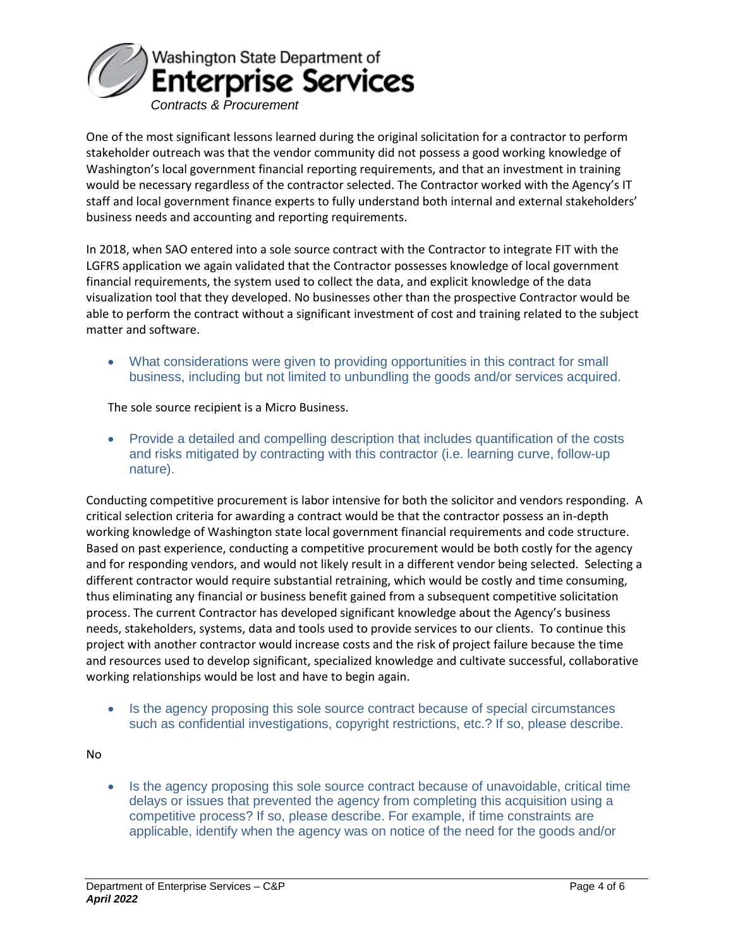

One of the most significant lessons learned during the original solicitation for a contractor to perform stakeholder outreach was that the vendor community did not possess a good working knowledge of Washington's local government financial reporting requirements, and that an investment in training would be necessary regardless of the contractor selected. The Contractor worked with the Agency's IT staff and local government finance experts to fully understand both internal and external stakeholders' business needs and accounting and reporting requirements.

In 2018, when SAO entered into a sole source contract with the Contractor to integrate FIT with the LGFRS application we again validated that the Contractor possesses knowledge of local government financial requirements, the system used to collect the data, and explicit knowledge of the data visualization tool that they developed. No businesses other than the prospective Contractor would be able to perform the contract without a significant investment of cost and training related to the subject matter and software.

 What considerations were given to providing opportunities in this contract for small business, including but not limited to unbundling the goods and/or services acquired.

The sole source recipient is a Micro Business.

 Provide a detailed and compelling description that includes quantification of the costs and risks mitigated by contracting with this contractor (i.e. learning curve, follow-up nature).

Conducting competitive procurement is labor intensive for both the solicitor and vendors responding. A critical selection criteria for awarding a contract would be that the contractor possess an in-depth working knowledge of Washington state local government financial requirements and code structure. Based on past experience, conducting a competitive procurement would be both costly for the agency and for responding vendors, and would not likely result in a different vendor being selected. Selecting a different contractor would require substantial retraining, which would be costly and time consuming, thus eliminating any financial or business benefit gained from a subsequent competitive solicitation process. The current Contractor has developed significant knowledge about the Agency's business needs, stakeholders, systems, data and tools used to provide services to our clients. To continue this project with another contractor would increase costs and the risk of project failure because the time and resources used to develop significant, specialized knowledge and cultivate successful, collaborative working relationships would be lost and have to begin again.

• Is the agency proposing this sole source contract because of special circumstances such as confidential investigations, copyright restrictions, etc.? If so, please describe.

No

 Is the agency proposing this sole source contract because of unavoidable, critical time delays or issues that prevented the agency from completing this acquisition using a competitive process? If so, please describe. For example, if time constraints are applicable, identify when the agency was on notice of the need for the goods and/or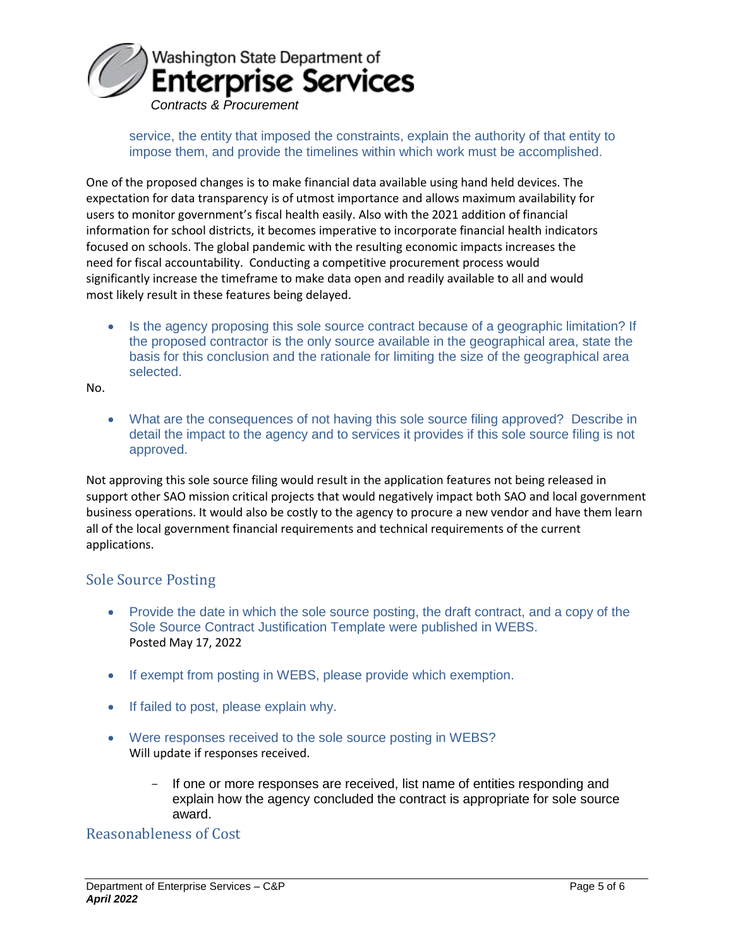

service, the entity that imposed the constraints, explain the authority of that entity to impose them, and provide the timelines within which work must be accomplished.

One of the proposed changes is to make financial data available using hand held devices. The expectation for data transparency is of utmost importance and allows maximum availability for users to monitor government's fiscal health easily. Also with the 2021 addition of financial information for school districts, it becomes imperative to incorporate financial health indicators focused on schools. The global pandemic with the resulting economic impacts increases the need for fiscal accountability. Conducting a competitive procurement process would significantly increase the timeframe to make data open and readily available to all and would most likely result in these features being delayed.

 Is the agency proposing this sole source contract because of a geographic limitation? If the proposed contractor is the only source available in the geographical area, state the basis for this conclusion and the rationale for limiting the size of the geographical area selected.

No.

 What are the consequences of not having this sole source filing approved? Describe in detail the impact to the agency and to services it provides if this sole source filing is not approved.

Not approving this sole source filing would result in the application features not being released in support other SAO mission critical projects that would negatively impact both SAO and local government business operations. It would also be costly to the agency to procure a new vendor and have them learn all of the local government financial requirements and technical requirements of the current applications.

### Sole Source Posting

- Provide the date in which the sole source posting, the draft contract, and a copy of the Sole Source Contract Justification Template were published in WEBS. Posted May 17, 2022
- If exempt from posting in WEBS, please provide which exemption.
- If failed to post, please explain why.
- Were responses received to the sole source posting in WEBS? Will update if responses received.
	- If one or more responses are received, list name of entities responding and explain how the agency concluded the contract is appropriate for sole source award.

Reasonableness of Cost